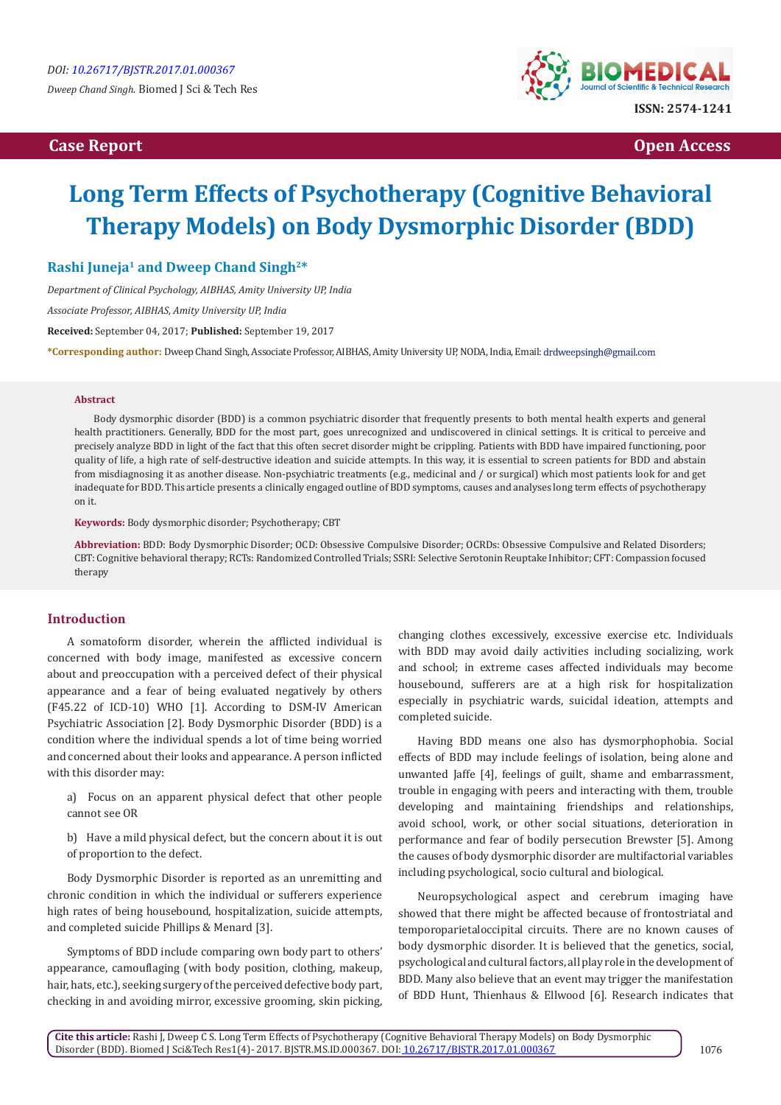

 **Case Report Open Access** 

# **Long Term Effects of Psychotherapy (Cognitive Behavioral Therapy Models) on Body Dysmorphic Disorder (BDD)**

**Rashi Juneja1 and Dweep Chand Singh2\*** 

*Department of Clinical Psychology, AIBHAS, Amity University UP, India*

*Associate Professor, AIBHAS, Amity University UP, India*

**Received:** September 04, 2017; **Published:** September 19, 2017

**\*Corresponding author:** Dweep Chand Singh, Associate Professor, AIBHAS, Amity University UP, NODA, India, Email:

#### **Abstract**

Body dysmorphic disorder (BDD) is a common psychiatric disorder that frequently presents to both mental health experts and general health practitioners. Generally, BDD for the most part, goes unrecognized and undiscovered in clinical settings. It is critical to perceive and precisely analyze BDD in light of the fact that this often secret disorder might be crippling. Patients with BDD have impaired functioning, poor quality of life, a high rate of self-destructive ideation and suicide attempts. In this way, it is essential to screen patients for BDD and abstain from misdiagnosing it as another disease. Non-psychiatric treatments (e.g., medicinal and / or surgical) which most patients look for and get inadequate for BDD. This article presents a clinically engaged outline of BDD symptoms, causes and analyses long term effects of psychotherapy on it.

**Keywords:** Body dysmorphic disorder; Psychotherapy; CBT

**Abbreviation:** BDD: Body Dysmorphic Disorder; OCD: Obsessive Compulsive Disorder; OCRDs: Obsessive Compulsive and Related Disorders; CBT: Cognitive behavioral therapy; RCTs: Randomized Controlled Trials; SSRI: Selective Serotonin Reuptake Inhibitor; CFT: Compassion focused therapy

### **Introduction**

A somatoform disorder, wherein the afflicted individual is concerned with body image, manifested as excessive concern about and preoccupation with a perceived defect of their physical appearance and a fear of being evaluated negatively by others (F45.22 of ICD-10) WHO [1]. According to DSM-IV American Psychiatric Association [2]. Body Dysmorphic Disorder (BDD) is a condition where the individual spends a lot of time being worried and concerned about their looks and appearance. A person inflicted with this disorder may:

a) Focus on an apparent physical defect that other people cannot see OR

b) Have a mild physical defect, but the concern about it is out of proportion to the defect.

Body Dysmorphic Disorder is reported as an unremitting and chronic condition in which the individual or sufferers experience high rates of being housebound, hospitalization, suicide attempts, and completed suicide Phillips & Menard [3].

Symptoms of BDD include comparing own body part to others' appearance, camouflaging (with body position, clothing, makeup, hair, hats, etc.), seeking surgery of the perceived defective body part, checking in and avoiding mirror, excessive grooming, skin picking,

changing clothes excessively, excessive exercise etc. Individuals with BDD may avoid daily activities including socializing, work and school; in extreme cases affected individuals may become housebound, sufferers are at a high risk for hospitalization especially in psychiatric wards, suicidal ideation, attempts and completed suicide.

Having BDD means one also has dysmorphophobia. Social effects of BDD may include feelings of isolation, being alone and unwanted Jaffe [4], feelings of guilt, shame and embarrassment, trouble in engaging with peers and interacting with them, trouble developing and maintaining friendships and relationships, avoid school, work, or other social situations, deterioration in performance and fear of bodily persecution Brewster [5]. Among the causes of body dysmorphic disorder are multifactorial variables including psychological, socio cultural and biological.

Neuropsychological aspect and cerebrum imaging have showed that there might be affected because of frontostriatal and temporoparietaloccipital circuits. There are no known causes of body dysmorphic disorder. It is believed that the genetics, social, psychological and cultural factors, all play role in the development of BDD. Many also believe that an event may trigger the manifestation of BDD Hunt, Thienhaus & Ellwood [6]. Research indicates that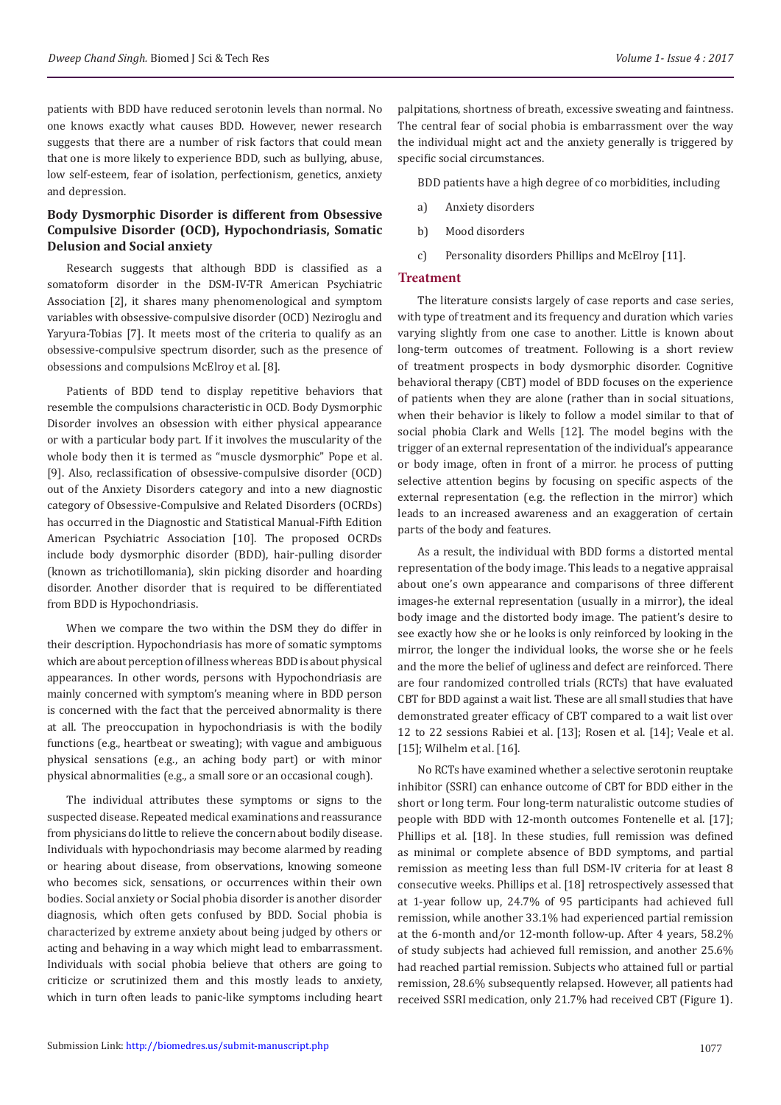patients with BDD have reduced serotonin levels than normal. No one knows exactly what causes BDD. However, newer research suggests that there are a number of risk factors that could mean that one is more likely to experience BDD, such as bullying, abuse, low self-esteem, fear of isolation, perfectionism, genetics, anxiety and depression.

## **Body Dysmorphic Disorder is different from Obsessive Compulsive Disorder (OCD), Hypochondriasis, Somatic Delusion and Social anxiety**

Research suggests that although BDD is classified as a somatoform disorder in the DSM-IV-TR American Psychiatric Association [2], it shares many phenomenological and symptom variables with obsessive-compulsive disorder (OCD) Neziroglu and Yaryura-Tobias [7]. It meets most of the criteria to qualify as an obsessive-compulsive spectrum disorder, such as the presence of obsessions and compulsions McElroy et al. [8].

Patients of BDD tend to display repetitive behaviors that resemble the compulsions characteristic in OCD. Body Dysmorphic Disorder involves an obsession with either physical appearance or with a particular body part. If it involves the muscularity of the whole body then it is termed as "muscle dysmorphic" Pope et al. [9]. Also, reclassification of obsessive-compulsive disorder (OCD) out of the Anxiety Disorders category and into a new diagnostic category of Obsessive-Compulsive and Related Disorders (OCRDs) has occurred in the Diagnostic and Statistical Manual-Fifth Edition American Psychiatric Association [10]. The proposed OCRDs include body dysmorphic disorder (BDD), hair-pulling disorder (known as trichotillomania), skin picking disorder and hoarding disorder. Another disorder that is required to be differentiated from BDD is Hypochondriasis.

When we compare the two within the DSM they do differ in their description. Hypochondriasis has more of somatic symptoms which are about perception of illness whereas BDD is about physical appearances. In other words, persons with Hypochondriasis are mainly concerned with symptom's meaning where in BDD person is concerned with the fact that the perceived abnormality is there at all. The preoccupation in hypochondriasis is with the bodily functions (e.g., heartbeat or sweating); with vague and ambiguous physical sensations (e.g., an aching body part) or with minor physical abnormalities (e.g., a small sore or an occasional cough).

The individual attributes these symptoms or signs to the suspected disease. Repeated medical examinations and reassurance from physicians do little to relieve the concern about bodily disease. Individuals with hypochondriasis may become alarmed by reading or hearing about disease, from observations, knowing someone who becomes sick, sensations, or occurrences within their own bodies. Social anxiety or Social phobia disorder is another disorder diagnosis, which often gets confused by BDD. Social phobia is characterized by extreme anxiety about being judged by others or acting and behaving in a way which might lead to embarrassment. Individuals with social phobia believe that others are going to criticize or scrutinized them and this mostly leads to anxiety, which in turn often leads to panic-like symptoms including heart

palpitations, shortness of breath, excessive sweating and faintness. The central fear of social phobia is embarrassment over the way the individual might act and the anxiety generally is triggered by specific social circumstances.

BDD patients have a high degree of co morbidities, including

- a) Anxiety disorders
- b) Mood disorders
- c) Personality disorders Phillips and McElroy [11].

#### **Treatment**

The literature consists largely of case reports and case series, with type of treatment and its frequency and duration which varies varying slightly from one case to another. Little is known about long-term outcomes of treatment. Following is a short review of treatment prospects in body dysmorphic disorder. Cognitive behavioral therapy (CBT) model of BDD focuses on the experience of patients when they are alone (rather than in social situations, when their behavior is likely to follow a model similar to that of social phobia Clark and Wells [12]. The model begins with the trigger of an external representation of the individual's appearance or body image, often in front of a mirror. he process of putting selective attention begins by focusing on specific aspects of the external representation (e.g. the reflection in the mirror) which leads to an increased awareness and an exaggeration of certain parts of the body and features.

As a result, the individual with BDD forms a distorted mental representation of the body image. This leads to a negative appraisal about one's own appearance and comparisons of three different images-he external representation (usually in a mirror), the ideal body image and the distorted body image. The patient's desire to see exactly how she or he looks is only reinforced by looking in the mirror, the longer the individual looks, the worse she or he feels and the more the belief of ugliness and defect are reinforced. There are four randomized controlled trials (RCTs) that have evaluated CBT for BDD against a wait list. These are all small studies that have demonstrated greater efficacy of CBT compared to a wait list over 12 to 22 sessions Rabiei et al. [13]; Rosen et al. [14]; Veale et al. [15]; Wilhelm et al. [16].

No RCTs have examined whether a selective serotonin reuptake inhibitor (SSRI) can enhance outcome of CBT for BDD either in the short or long term. Four long-term naturalistic outcome studies of people with BDD with 12-month outcomes Fontenelle et al. [17]; Phillips et al. [18]. In these studies, full remission was defined as minimal or complete absence of BDD symptoms, and partial remission as meeting less than full DSM-IV criteria for at least 8 consecutive weeks. Phillips et al. [18] retrospectively assessed that at 1-year follow up, 24.7% of 95 participants had achieved full remission, while another 33.1% had experienced partial remission at the 6-month and/or 12-month follow-up. After 4 years, 58.2% of study subjects had achieved full remission, and another 25.6% had reached partial remission. Subjects who attained full or partial remission, 28.6% subsequently relapsed. However, all patients had received SSRI medication, only 21.7% had received CBT (Figure 1).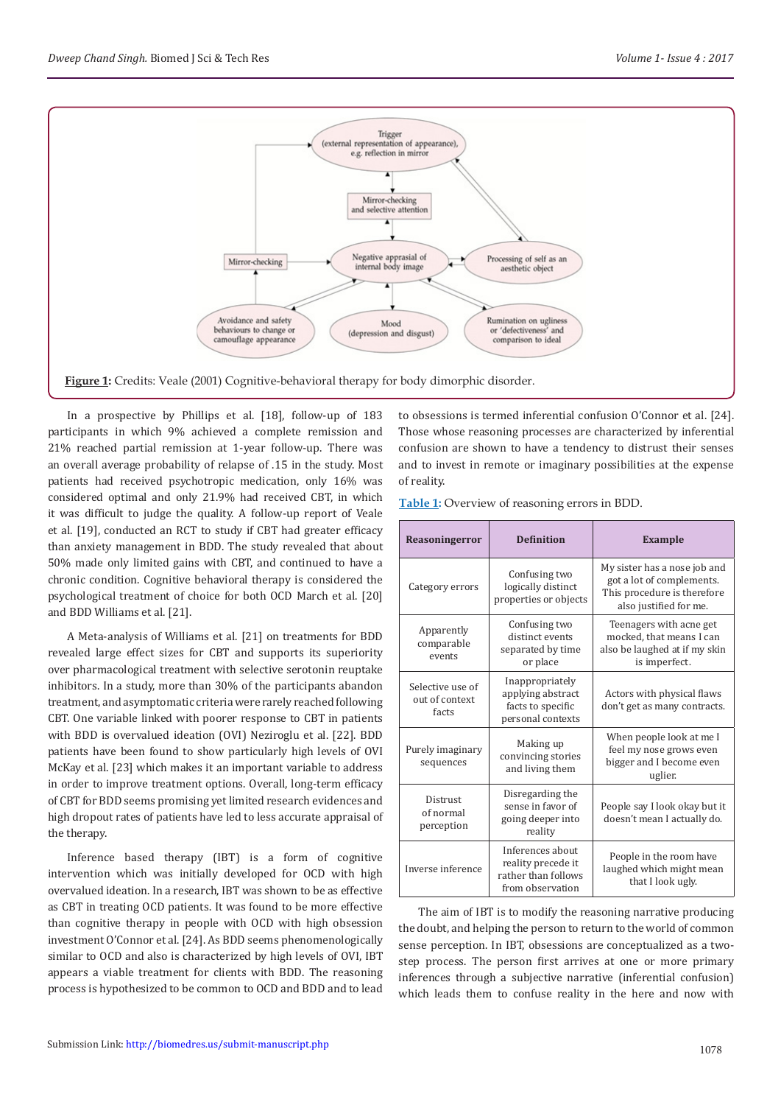

In a prospective by Phillips et al. [18], follow-up of 183 participants in which 9% achieved a complete remission and 21% reached partial remission at 1-year follow-up. There was an overall average probability of relapse of .15 in the study. Most patients had received psychotropic medication, only 16% was considered optimal and only 21.9% had received CBT, in which it was difficult to judge the quality. A follow-up report of Veale et al. [19], conducted an RCT to study if CBT had greater efficacy than anxiety management in BDD. The study revealed that about 50% made only limited gains with CBT, and continued to have a chronic condition. Cognitive behavioral therapy is considered the psychological treatment of choice for both OCD March et al. [20] and BDD Williams et al. [21].

A Meta-analysis of Williams et al. [21] on treatments for BDD revealed large effect sizes for CBT and supports its superiority over pharmacological treatment with selective serotonin reuptake inhibitors. In a study, more than 30% of the participants abandon treatment, and asymptomatic criteria were rarely reached following CBT. One variable linked with poorer response to CBT in patients with BDD is overvalued ideation (OVI) Neziroglu et al. [22]. BDD patients have been found to show particularly high levels of OVI McKay et al. [23] which makes it an important variable to address in order to improve treatment options. Overall, long-term efficacy of CBT for BDD seems promising yet limited research evidences and high dropout rates of patients have led to less accurate appraisal of the therapy.

Inference based therapy (IBT) is a form of cognitive intervention which was initially developed for OCD with high overvalued ideation. In a research, IBT was shown to be as effective as CBT in treating OCD patients. It was found to be more effective than cognitive therapy in people with OCD with high obsession investment O'Connor et al. [24]. As BDD seems phenomenologically similar to OCD and also is characterized by high levels of OVI, IBT appears a viable treatment for clients with BDD. The reasoning process is hypothesized to be common to OCD and BDD and to lead to obsessions is termed inferential confusion O'Connor et al. [24]. Those whose reasoning processes are characterized by inferential confusion are shown to have a tendency to distrust their senses and to invest in remote or imaginary possibilities at the expense of reality.

**Table 1:** Overview of reasoning errors in BDD.

| Reasoningerror                              | <b>Definition</b>                                                                 | <b>Example</b>                                                                                                     |
|---------------------------------------------|-----------------------------------------------------------------------------------|--------------------------------------------------------------------------------------------------------------------|
| Category errors                             | Confusing two<br>logically distinct<br>properties or objects                      | My sister has a nose job and<br>got a lot of complements.<br>This procedure is therefore<br>also justified for me. |
| Apparently<br>comparable<br>events          | Confusing two<br>distinct events<br>separated by time<br>or place                 | Teenagers with acne get<br>mocked, that means I can<br>also be laughed at if my skin<br>is imperfect.              |
| Selective use of<br>out of context<br>facts | Inappropriately<br>applying abstract<br>facts to specific<br>personal contexts    | Actors with physical flaws<br>don't get as many contracts.                                                         |
| Purely imaginary<br>sequences               | Making up<br>convincing stories<br>and living them                                | When people look at me I<br>feel my nose grows even<br>bigger and I become even<br>uglier.                         |
| Distrust<br>of normal<br>perception         | Disregarding the<br>sense in favor of<br>going deeper into<br>reality             | People say I look okay but it<br>doesn't mean I actually do.                                                       |
| Inverse inference                           | Inferences about<br>reality precede it<br>rather than follows<br>from observation | People in the room have<br>laughed which might mean<br>that I look ugly.                                           |

The aim of IBT is to modify the reasoning narrative producing the doubt, and helping the person to return to the world of common sense perception. In IBT, obsessions are conceptualized as a twostep process. The person first arrives at one or more primary inferences through a subjective narrative (inferential confusion) which leads them to confuse reality in the here and now with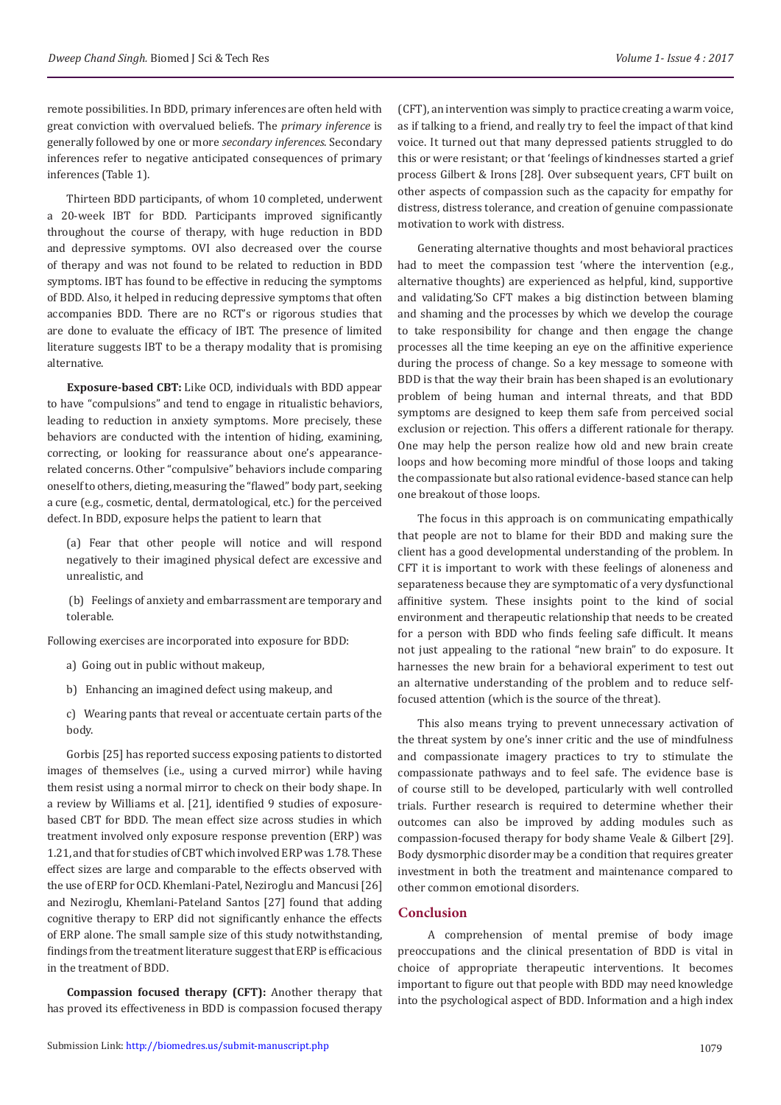remote possibilities. In BDD, primary inferences are often held with great conviction with overvalued beliefs. The *primary inference* is generally followed by one or more *secondary inferences*. Secondary inferences refer to negative anticipated consequences of primary inferences (Table 1).

Thirteen BDD participants, of whom 10 completed, underwent a 20-week IBT for BDD. Participants improved significantly throughout the course of therapy, with huge reduction in BDD and depressive symptoms. OVI also decreased over the course of therapy and was not found to be related to reduction in BDD symptoms. IBT has found to be effective in reducing the symptoms of BDD. Also, it helped in reducing depressive symptoms that often accompanies BDD. There are no RCT's or rigorous studies that are done to evaluate the efficacy of IBT. The presence of limited literature suggests IBT to be a therapy modality that is promising alternative.

**Exposure-based CBT:** Like OCD, individuals with BDD appear to have "compulsions" and tend to engage in ritualistic behaviors, leading to reduction in anxiety symptoms. More precisely, these behaviors are conducted with the intention of hiding, examining, correcting, or looking for reassurance about one's appearancerelated concerns. Other "compulsive" behaviors include comparing oneself to others, dieting, measuring the "flawed" body part, seeking a cure (e.g., cosmetic, dental, dermatological, etc.) for the perceived defect. In BDD, exposure helps the patient to learn that

(a) Fear that other people will notice and will respond negatively to their imagined physical defect are excessive and unrealistic, and

 (b) Feelings of anxiety and embarrassment are temporary and tolerable.

Following exercises are incorporated into exposure for BDD:

- a) Going out in public without makeup,
- b) Enhancing an imagined defect using makeup, and

c) Wearing pants that reveal or accentuate certain parts of the body.

Gorbis [25] has reported success exposing patients to distorted images of themselves (i.e., using a curved mirror) while having them resist using a normal mirror to check on their body shape. In a review by Williams et al. [21], identified 9 studies of exposurebased CBT for BDD. The mean effect size across studies in which treatment involved only exposure response prevention (ERP) was 1.21, and that for studies of CBT which involved ERP was 1.78. These effect sizes are large and comparable to the effects observed with the use of ERP for OCD. Khemlani-Patel, Neziroglu and Mancusi [26] and Neziroglu, Khemlani-Pateland Santos [27] found that adding cognitive therapy to ERP did not significantly enhance the effects of ERP alone. The small sample size of this study notwithstanding, findings from the treatment literature suggest that ERP is efficacious in the treatment of BDD.

**Compassion focused therapy (CFT):** Another therapy that has proved its effectiveness in BDD is compassion focused therapy

(CFT), an intervention was simply to practice creating a warm voice, as if talking to a friend, and really try to feel the impact of that kind voice. It turned out that many depressed patients struggled to do this or were resistant; or that 'feelings of kindnesses started a grief process Gilbert & Irons [28]. Over subsequent years, CFT built on other aspects of compassion such as the capacity for empathy for distress, distress tolerance, and creation of genuine compassionate motivation to work with distress.

Generating alternative thoughts and most behavioral practices had to meet the compassion test 'where the intervention (e.g., alternative thoughts) are experienced as helpful, kind, supportive and validating.'So CFT makes a big distinction between blaming and shaming and the processes by which we develop the courage to take responsibility for change and then engage the change processes all the time keeping an eye on the affinitive experience during the process of change. So a key message to someone with BDD is that the way their brain has been shaped is an evolutionary problem of being human and internal threats, and that BDD symptoms are designed to keep them safe from perceived social exclusion or rejection. This offers a different rationale for therapy. One may help the person realize how old and new brain create loops and how becoming more mindful of those loops and taking the compassionate but also rational evidence-based stance can help one breakout of those loops.

The focus in this approach is on communicating empathically that people are not to blame for their BDD and making sure the client has a good developmental understanding of the problem. In CFT it is important to work with these feelings of aloneness and separateness because they are symptomatic of a very dysfunctional affinitive system. These insights point to the kind of social environment and therapeutic relationship that needs to be created for a person with BDD who finds feeling safe difficult. It means not just appealing to the rational "new brain" to do exposure. It harnesses the new brain for a behavioral experiment to test out an alternative understanding of the problem and to reduce selffocused attention (which is the source of the threat).

This also means trying to prevent unnecessary activation of the threat system by one's inner critic and the use of mindfulness and compassionate imagery practices to try to stimulate the compassionate pathways and to feel safe. The evidence base is of course still to be developed, particularly with well controlled trials. Further research is required to determine whether their outcomes can also be improved by adding modules such as compassion-focused therapy for body shame Veale & Gilbert [29]. Body dysmorphic disorder may be a condition that requires greater investment in both the treatment and maintenance compared to other common emotional disorders.

#### **Conclusion**

 A comprehension of mental premise of body image preoccupations and the clinical presentation of BDD is vital in choice of appropriate therapeutic interventions. It becomes important to figure out that people with BDD may need knowledge into the psychological aspect of BDD. Information and a high index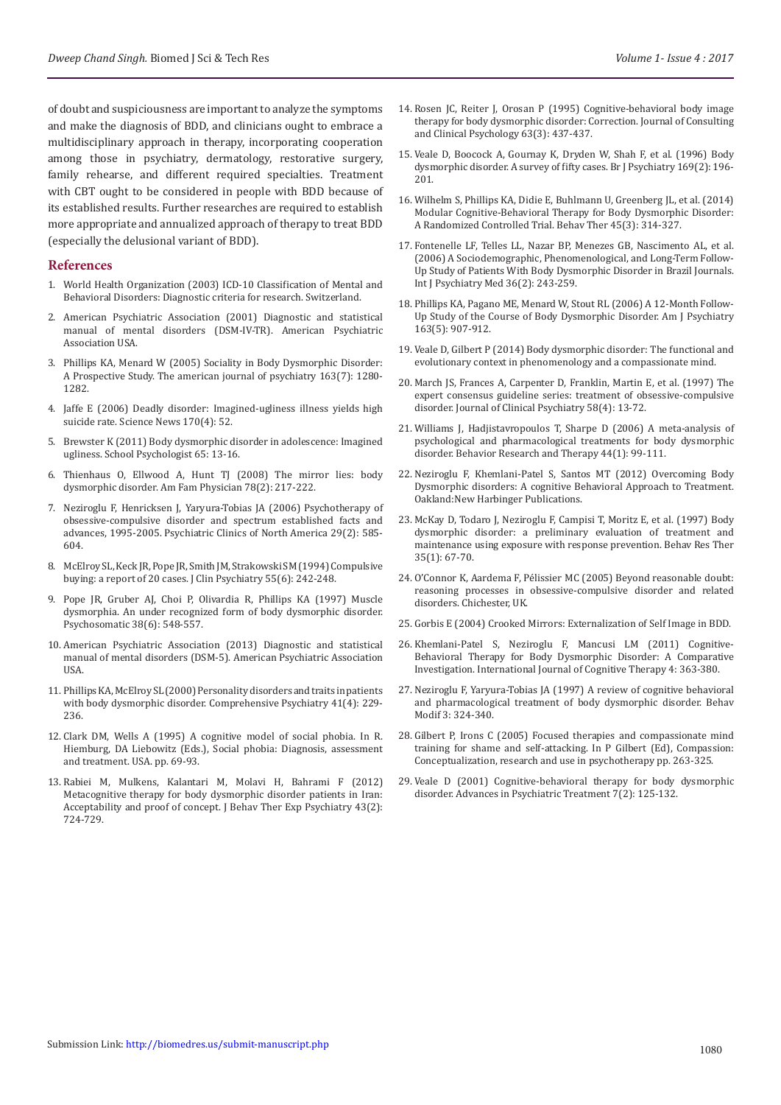of doubt and suspiciousness are important to analyze the symptoms and make the diagnosis of BDD, and clinicians ought to embrace a multidisciplinary approach in therapy, incorporating cooperation among those in psychiatry, dermatology, restorative surgery, family rehearse, and different required specialties. Treatment with CBT ought to be considered in people with BDD because of its established results. Further researches are required to establish more appropriate and annualized approach of therapy to treat BDD (especially the delusional variant of BDD).

#### **References**

- 1. [World Health Organization \(2003\) ICD-10 Classification of Mental and](http://www.who.int/classifications/icd/en/GRNBOOK.pdf) [Behavioral Disorders: Diagnostic criteria for research. Switzerland.](http://www.who.int/classifications/icd/en/GRNBOOK.pdf)
- 2. [American Psychiatric Association \(2001\) Diagnostic and statistical](https://allpsych.com/disorders/dsm/) [manual of mental disorders \(DSM-IV-TR\). American Psychiatric](https://allpsych.com/disorders/dsm/) [Association USA.](https://allpsych.com/disorders/dsm/)
- 3. Phillips KA, Menard W (2005) Sociality in Body Dysmorphic Disorder: A Prospective Study. The american journal of psychiatry 163(7): 1280- 1282.
- 4. [Jaffe E \(2006\) Deadly disorder: Imagined-ugliness illness yields high](http://onlinelibrary.wiley.com/doi/10.2307/4017315/full) [suicide rate. Science News 170\(4\): 52.](http://onlinelibrary.wiley.com/doi/10.2307/4017315/full)
- 5. Brewster K (2011) Body dysmorphic disorder in adolescence: Imagined ugliness. School Psychologist 65: 13-16.
- 6. [Thienhaus O, Ellwood A, Hunt TJ \(2008\) The mirror lies: body](https://www.ncbi.nlm.nih.gov/pubmed/18697504) [dysmorphic disorder. Am Fam Physician 78\(2\): 217-222.](https://www.ncbi.nlm.nih.gov/pubmed/18697504)
- 7. [Neziroglu F, Henricksen J, Yaryura-Tobias JA \(2006\) Psychotherapy of](https://www.ncbi.nlm.nih.gov/pubmed/16650724) [obsessive-compulsive disorder and spectrum established facts and](https://www.ncbi.nlm.nih.gov/pubmed/16650724) advances, 1995-2005. [Psychiatric Clinics of North America 29\(2\): 585-](https://www.ncbi.nlm.nih.gov/pubmed/16650724) [604.](https://www.ncbi.nlm.nih.gov/pubmed/16650724)
- 8. [McElroy SL, Keck JR, Pope JR, Smith JM, Strakowski SM \(1994\) Compulsive](https://www.ncbi.nlm.nih.gov/pubmed/8071278) [buying: a report of 20 cases. J Clin Psychiatry 55\(6\): 242-248.](https://www.ncbi.nlm.nih.gov/pubmed/8071278)
- 9. [Pope JR, Gruber AJ, Choi P, Olivardia R, Phillips KA \(1997\) Muscle](https://www.ncbi.nlm.nih.gov/pubmed/9427852) [dysmorphia. An under recognized form of body dysmorphic disorder.](https://www.ncbi.nlm.nih.gov/pubmed/9427852) [Psychosomatic 38\(6\): 548-557.](https://www.ncbi.nlm.nih.gov/pubmed/9427852)
- 10. American Psychiatric Association (2013) Diagnostic and statistical manual of mental disorders (DSM-5). American Psychiatric Association **USA**
- 11. [Phillips KA, McElroy SL \(2000\) Personality disorders and traits in patients](https://www.ncbi.nlm.nih.gov/pubmed/10929788) [with body dysmorphic disorder.](https://www.ncbi.nlm.nih.gov/pubmed/10929788) Comprehensive Psychiatry 41(4): 229- [236.](https://www.ncbi.nlm.nih.gov/pubmed/10929788)
- 12. Clark DM, Wells A (1995) A cognitive model of social phobia. In R. Hiemburg, DA Liebowitz (Eds.), Social phobia: Diagnosis, assessment and treatment. USA. pp. 69-93.
- 13. [Rabiei M, Mulkens, Kalantari M, Molavi H, Bahrami F \(2012\)](https://www.ncbi.nlm.nih.gov/pubmed/22080870) [Metacognitive therapy for body dysmorphic disorder patients in Iran:](https://www.ncbi.nlm.nih.gov/pubmed/22080870) [Acceptability and proof of concept. J Behav Ther Exp Psychiatry 43\(2\):](https://www.ncbi.nlm.nih.gov/pubmed/22080870) [724-729.](https://www.ncbi.nlm.nih.gov/pubmed/22080870)
- 14. [Rosen JC, Reiter J, Orosan P \(1995\) Cognitive-behavioral body image](https://www.researchgate.net/publication/315225242_Cognitive-behavioral_body_image_therapy_for_body_dysmorphic_disorder_Correction)  [therapy for body dysmorphic disorder: Correction. Journal of Consulting](https://www.researchgate.net/publication/315225242_Cognitive-behavioral_body_image_therapy_for_body_dysmorphic_disorder_Correction)  [and Clinical Psychology](https://www.researchgate.net/publication/315225242_Cognitive-behavioral_body_image_therapy_for_body_dysmorphic_disorder_Correction) 63(3): 437-437.
- 15. [Veale D, Boocock A, Gournay K, Dryden W, Shah F, et al. \(1996\) Body](https://www.ncbi.nlm.nih.gov/pubmed/8871796)  [dysmorphic disorder. A survey of fifty cases.](https://www.ncbi.nlm.nih.gov/pubmed/8871796) Br J Psychiatry 169(2): 196- [201.](https://www.ncbi.nlm.nih.gov/pubmed/8871796)
- 16. [Wilhelm S, Phillips KA, Didie E, Buhlmann U, Greenberg JL, et al. \(2014\)](https://www.ncbi.nlm.nih.gov/pubmed/24680228)  [Modular Cognitive-Behavioral Therapy for Body Dysmorphic Disorder:](https://www.ncbi.nlm.nih.gov/pubmed/24680228)  [A Randomized Controlled Trial. Behav Ther 45\(3\): 314-327.](https://www.ncbi.nlm.nih.gov/pubmed/24680228)
- 17. [Fontenelle LF, Telles LL, Nazar BP, Menezes GB, Nascimento AL, et al.](https://www.ncbi.nlm.nih.gov/labs/articles/17154152/)  [\(2006\) A Sociodemographic, Phenomenological, and Long-Term Follow-](https://www.ncbi.nlm.nih.gov/labs/articles/17154152/)[Up Study of Patients With Body Dysmorphic Disorder in Brazil Journals.](https://www.ncbi.nlm.nih.gov/labs/articles/17154152/)  [Int J Psychiatry Med 36\(2\): 243-259.](https://www.ncbi.nlm.nih.gov/labs/articles/17154152/)
- 18. [Phillips KA, Pagano ME, Menard W, Stout RL \(2006\) A 12-Month Follow-](https://www.ncbi.nlm.nih.gov/pubmed/16648334)[Up Study of the Course of Body Dysmorphic Disorder. Am J Psychiatry](https://www.ncbi.nlm.nih.gov/pubmed/16648334)  [163\(5\): 907-912.](https://www.ncbi.nlm.nih.gov/pubmed/16648334)
- 19. Veale D, Gilbert P (2014) Body dysmorphic disorder: The functional and evolutionary context in phenomenology and a compassionate mind.
- 20. [March JS, Frances A, Carpenter D, Franklin, Martin E, et al. \(1997\) The](https://vivo.upenn.edu/vivo/display/citfd47370)  [expert consensus guideline series: treatment of obsessive-compulsive](https://vivo.upenn.edu/vivo/display/citfd47370)  disorder. [Journal of Clinical Psychiatry](https://vivo.upenn.edu/vivo/display/citfd47370) 58(4): 13-72.
- 21. [Williams J, Hadjistavropoulos T, Sharpe D \(2006\) A meta-analysis of](https://www.ncbi.nlm.nih.gov/pubmed/16301017)  [psychological and pharmacological treatments for body dysmorphic](https://www.ncbi.nlm.nih.gov/pubmed/16301017)  disorder. [Behavior Research and Therapy 44\(1\): 99-111.](https://www.ncbi.nlm.nih.gov/pubmed/16301017)
- 22. Neziroglu F, Khemlani-Patel S, Santos MT (2012) Overcoming Body Dysmorphic disorders: A cognitive Behavioral Approach to Treatment. Oakland:New Harbinger Publications.
- 23. [McKay D, Todaro J, Neziroglu F, Campisi T, Moritz E, et al. \(1997\) Body](https://www.ncbi.nlm.nih.gov/pubmed/9009045)  [dysmorphic disorder: a preliminary evaluation of treatment and](https://www.ncbi.nlm.nih.gov/pubmed/9009045)  [maintenance using exposure with response prevention.](https://www.ncbi.nlm.nih.gov/pubmed/9009045) Behav Res Ther [35\(1\): 67-70.](https://www.ncbi.nlm.nih.gov/pubmed/9009045)
- 24. O'Connor K, Aardema F, Pélissier MC (2005) Beyond reasonable doubt: reasoning processes in obsessive-compulsive disorder and related disorders. Chichester, UK.
- 25. [Gorbis E \(2004\) Crooked Mirrors: Externalization of Self Image in BDD.](http://hope4ocd.com/downloads/gorbis_crooked0703.pdf)
- 26. [Khemlani-Patel S, Neziroglu F, Mancusi LM \(2011\)](http://guilfordjournals.com/doi/abs/10.1521/ijct.2011.4.4.363) Cognitive-[Behavioral Therapy for Body Dysmorphic Disorder: A Comparative](http://guilfordjournals.com/doi/abs/10.1521/ijct.2011.4.4.363)  Investigation. [International Journal of Cognitive Therapy 4: 363-380.](http://guilfordjournals.com/doi/abs/10.1521/ijct.2011.4.4.363)
- 27. [Neziroglu F, Yaryura-Tobias JA \(1997\) A review of cognitive behavioral](https://www.ncbi.nlm.nih.gov/pubmed/9243958)  [and pharmacological treatment of body dysmorphic disorder. Behav](https://www.ncbi.nlm.nih.gov/pubmed/9243958)  [Modif 3: 324-340.](https://www.ncbi.nlm.nih.gov/pubmed/9243958)
- 28. Gilbert P, Irons C (2005) Focused therapies and compassionate mind training for shame and self-attacking. In P Gilbert (Ed), Compassion: Conceptualization, research and use in psychotherapy pp. 263-325.
- 29. [Veale D \(2001\) Cognitive-behavioral therapy for body dysmorphic](http://apt.rcpsych.org/content/7/2/125.figures-only)  disorder. [Advances in Psychiatric Treatment 7\(2\): 125-132.](http://apt.rcpsych.org/content/7/2/125.figures-only)